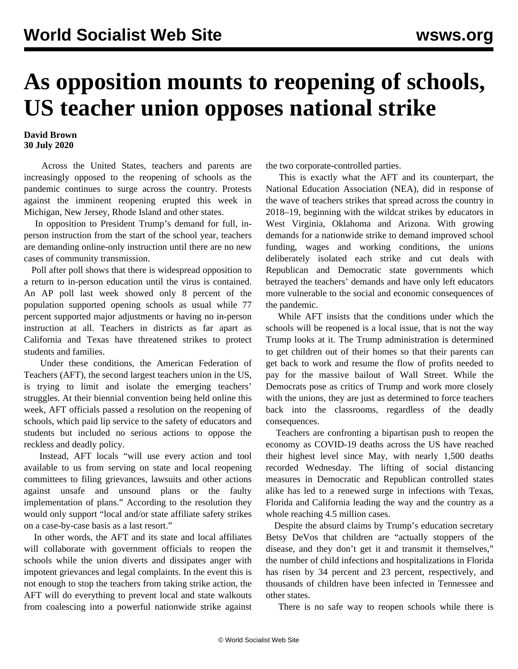## **As opposition mounts to reopening of schools, US teacher union opposes national strike**

## **David Brown 30 July 2020**

 Across the United States, teachers and parents are increasingly opposed to the reopening of schools as the pandemic continues to surge across the country. Protests against the imminent reopening erupted this week in Michigan, New Jersey, Rhode Island and other states.

 In opposition to President Trump's demand for full, inperson instruction from the start of the school year, teachers are demanding online-only instruction until there are no new cases of community transmission.

 Poll after poll shows that there is widespread opposition to a return to in-person education until the virus is contained. An [AP poll](https://apnorc.org/projects/concerns-about-school-re-openings-loom-large/) last week showed only 8 percent of the population supported opening schools as usual while 77 percent supported major adjustments or having no in-person instruction at all. Teachers in districts as far apart as California and Texas have threatened strikes to protect students and families.

 Under these conditions, the American Federation of Teachers (AFT), the second largest teachers union in the US, is trying to limit and isolate the emerging teachers' struggles. At their biennial convention being held online this week, AFT officials passed a resolution on the reopening of schools, which paid lip service to the safety of educators and students but included no serious actions to oppose the reckless and deadly policy.

 Instead, AFT locals "will use every action and tool available to us from serving on state and local reopening committees to filing grievances, lawsuits and other actions against unsafe and unsound plans or the faulty implementation of plans." According to the resolution they would only support "local and/or state affiliate safety strikes on a case-by-case basis as a last resort."

 In other words, the AFT and its state and local affiliates will collaborate with government officials to reopen the schools while the union diverts and dissipates anger with impotent grievances and legal complaints. In the event this is not enough to stop the teachers from taking strike action, the AFT will do everything to prevent local and state walkouts from coalescing into a powerful nationwide strike against the two corporate-controlled parties.

 This is exactly what the AFT and its counterpart, the National Education Association (NEA), did in response of the wave of teachers strikes that spread across the country in 2018–19, beginning with the wildcat strikes by educators in West Virginia, Oklahoma and Arizona. With growing demands for a nationwide strike to demand improved school funding, wages and working conditions, the unions deliberately isolated each strike and cut deals with Republican and Democratic state governments which betrayed the teachers' demands and have only left educators more vulnerable to the social and economic consequences of the pandemic.

 While AFT insists that the conditions under which the schools will be reopened is a local issue, that is not the way Trump looks at it. The Trump administration is determined to get children out of their homes so that their parents can get back to work and resume the flow of profits needed to pay for the massive bailout of Wall Street. While the Democrats pose as critics of Trump and work more closely with the unions, they are just as determined to force teachers back into the classrooms, regardless of the deadly consequences.

 Teachers are confronting a bipartisan push to reopen the economy as COVID-19 deaths across the US have reached their highest level since May, with nearly 1,500 deaths recorded Wednesday. The lifting of social distancing measures in Democratic and Republican controlled states alike has led to a renewed surge in infections with Texas, Florida and California leading the way and the country as a whole reaching 4.5 million cases.

 Despite the absurd claims by Trump's education secretary Betsy DeVos that children are "actually stoppers of the disease, and they don't get it and transmit it themselves," the number of child infections and hospitalizations in Florida has risen by 34 percent and 23 percent, respectively, and thousands of children have been infected in Tennessee and other states.

There is no safe way to reopen schools while there is